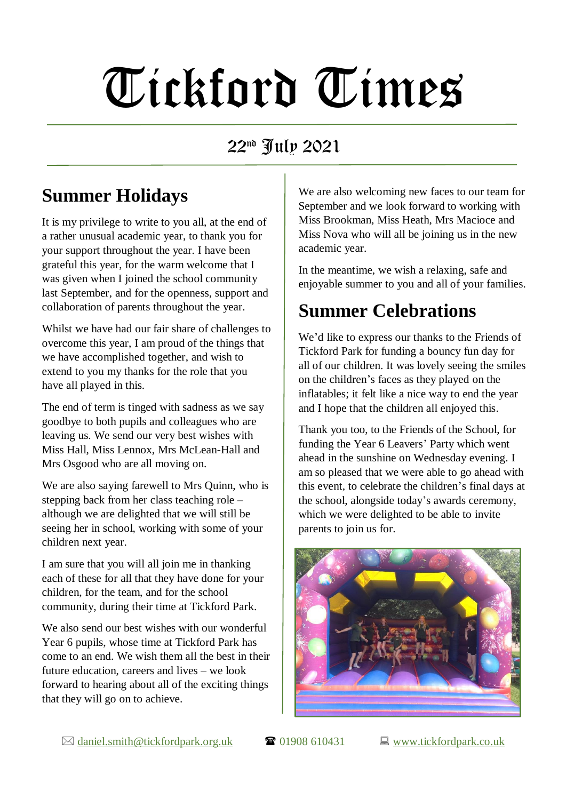# Tickford Times

#### 22nd July 2021

## **Summer Holidays**

It is my privilege to write to you all, at the end of a rather unusual academic year, to thank you for your support throughout the year. I have been grateful this year, for the warm welcome that I was given when I joined the school community last September, and for the openness, support and collaboration of parents throughout the year.

Whilst we have had our fair share of challenges to overcome this year, I am proud of the things that we have accomplished together, and wish to extend to you my thanks for the role that you have all played in this.

The end of term is tinged with sadness as we say goodbye to both pupils and colleagues who are leaving us. We send our very best wishes with Miss Hall, Miss Lennox, Mrs McLean-Hall and Mrs Osgood who are all moving on.

We are also saying farewell to Mrs Quinn, who is stepping back from her class teaching role – although we are delighted that we will still be seeing her in school, working with some of your children next year.

I am sure that you will all join me in thanking each of these for all that they have done for your children, for the team, and for the school community, during their time at Tickford Park.

We also send our best wishes with our wonderful Year 6 pupils, whose time at Tickford Park has come to an end. We wish them all the best in their future education, careers and lives – we look forward to hearing about all of the exciting things that they will go on to achieve.

We are also welcoming new faces to our team for September and we look forward to working with Miss Brookman, Miss Heath, Mrs Macioce and Miss Nova who will all be joining us in the new academic year.

In the meantime, we wish a relaxing, safe and enjoyable summer to you and all of your families.

### **Summer Celebrations**

We'd like to express our thanks to the Friends of Tickford Park for funding a bouncy fun day for all of our children. It was lovely seeing the smiles on the children's faces as they played on the inflatables; it felt like a nice way to end the year and I hope that the children all enjoyed this.

Thank you too, to the Friends of the School, for funding the Year 6 Leavers' Party which went ahead in the sunshine on Wednesday evening. I am so pleased that we were able to go ahead with this event, to celebrate the children's final days at the school, alongside today's awards ceremony, which we were delighted to be able to invite parents to join us for.